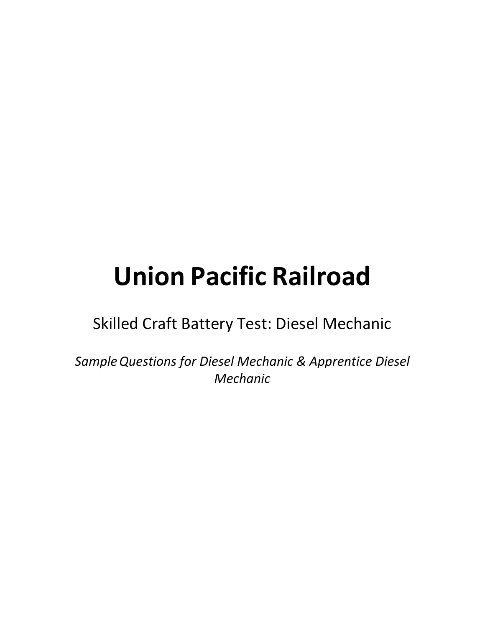# **Union Pacific Railroad**

Skilled Craft Battery Test: Diesel Mechanic

*SampleQuestions for Diesel Mechanic & Apprentice Diesel Mechanic*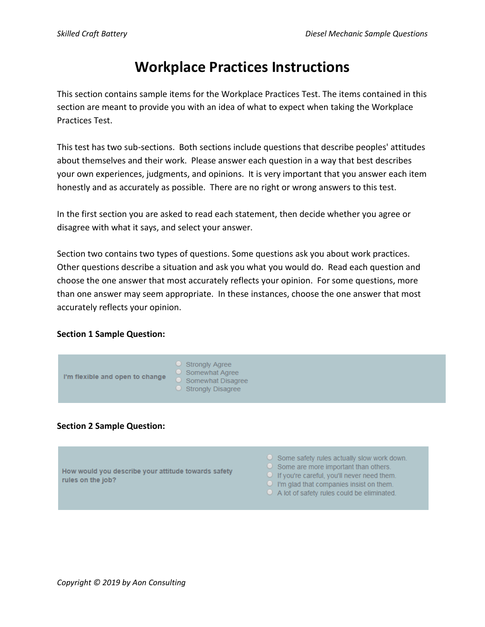### **Workplace Practices Instructions**

This section contains sample items for the Workplace Practices Test. The items contained in this section are meant to provide you with an idea of what to expect when taking the Workplace Practices Test.

This test has two sub-sections. Both sections include questions that describe peoples' attitudes about themselves and their work. Please answer each question in a way that best describes your own experiences, judgments, and opinions. It is very important that you answer each item honestly and as accurately as possible. There are no right or wrong answers to this test.

In the first section you are asked to read each statement, then decide whether you agree or disagree with what it says, and select your answer.

Section two contains two types of questions. Some questions ask you about work practices. Other questions describe a situation and ask you what you would do. Read each question and choose the one answer that most accurately reflects your opinion. For some questions, more than one answer may seem appropriate. In these instances, choose the one answer that most accurately reflects your opinion.

#### **Section 1 Sample Question:**



### **Section 2 Sample Question:**

How would you describe your attitude towards safety rules on the job?

- $\circ$  Some safety rules actually slow work down.
- $\circ$  Some are more important than others.
- O If you're careful, you'll never need them.
- $\Box$  I'm glad that companies insist on them.
- $\circ$  A lot of safety rules could be eliminated.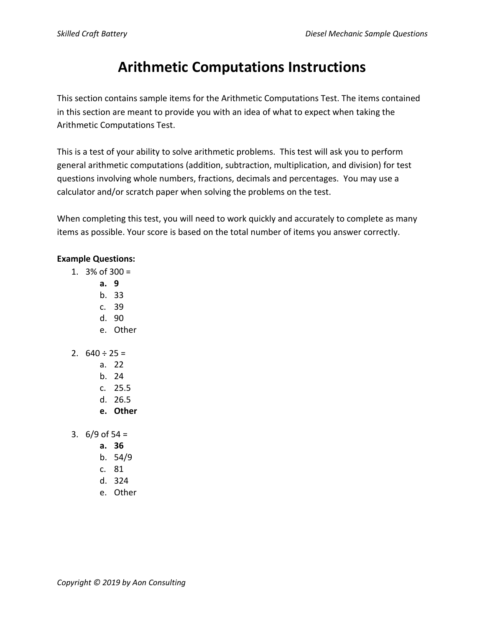# **Arithmetic Computations Instructions**

This section contains sample items for the Arithmetic Computations Test. The items contained in this section are meant to provide you with an idea of what to expect when taking the Arithmetic Computations Test.

This is a test of your ability to solve arithmetic problems. This test will ask you to perform general arithmetic computations (addition, subtraction, multiplication, and division) for test questions involving whole numbers, fractions, decimals and percentages. You may use a calculator and/or scratch paper when solving the problems on the test.

When completing this test, you will need to work quickly and accurately to complete as many items as possible. Your score is based on the total number of items you answer correctly.

### **Example Questions:**

- 1.  $3\%$  of  $300 =$ 
	- **a. 9**
	- b. 33
	- c. 39
	- d. 90
	- e. Other
- 2.  $640 \div 25 =$ 
	- a. 22
	- b. 24
	- c. 25.5
	- d. 26.5
	- **e. Other**
- 3.  $6/9$  of 54 =
	- **a. 36**
	- b. 54/9
	- c. 81
	- d. 324
	- e. Other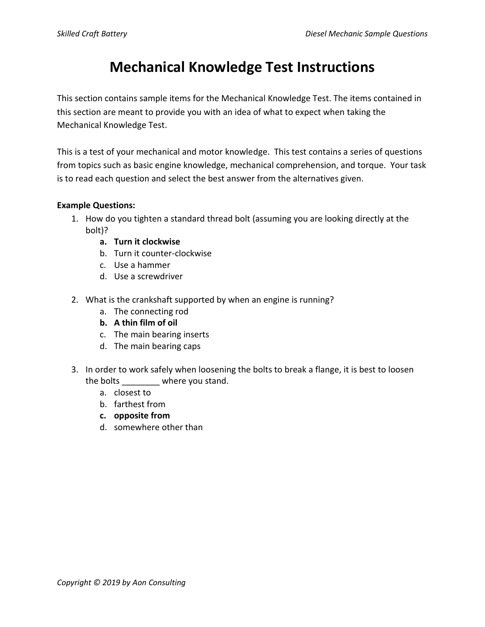## **Mechanical Knowledge Test Instructions**

This section contains sample items for the Mechanical Knowledge Test. The items contained in this section are meant to provide you with an idea of what to expect when taking the Mechanical Knowledge Test.

This is a test of your mechanical and motor knowledge. This test contains a series of questions from topics such as basic engine knowledge, mechanical comprehension, and torque. Your task is to read each question and select the best answer from the alternatives given.

#### **Example Questions:**

- 1. How do you tighten a standard thread bolt (assuming you are looking directly at the bolt)?
	- **a. Turn it clockwise**
	- b. Turn it counter-clockwise
	- c. Use a hammer
	- d. Use a screwdriver
- 2. What is the crankshaft supported by when an engine is running?
	- a. The connecting rod
	- **b. A thin film of oil**
	- c. The main bearing inserts
	- d. The main bearing caps
- 3. In order to work safely when loosening the bolts to break a flange, it is best to loosen the bolts \_\_\_\_\_\_\_ where you stand.
	- a. closest to
	- b. farthest from
	- **c. opposite from**
	- d. somewhere other than